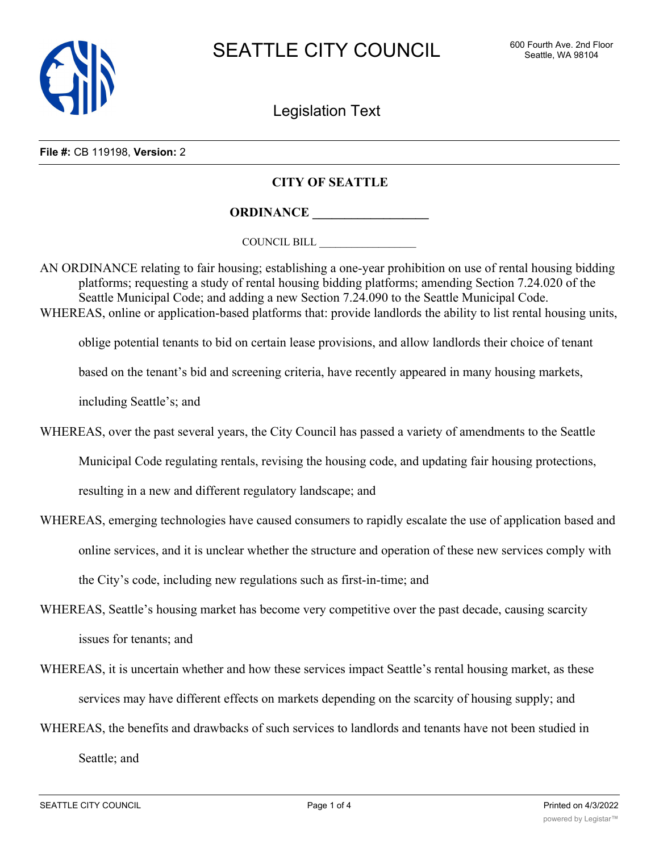

Legislation Text

**File #:** CB 119198, **Version:** 2

## **CITY OF SEATTLE**

**ORDINANCE \_\_\_\_\_\_\_\_\_\_\_\_\_\_\_\_\_\_**

COUNCIL BILL \_\_\_\_\_\_\_\_\_\_\_\_\_\_\_\_\_\_

AN ORDINANCE relating to fair housing; establishing a one-year prohibition on use of rental housing bidding platforms; requesting a study of rental housing bidding platforms; amending Section 7.24.020 of the Seattle Municipal Code; and adding a new Section 7.24.090 to the Seattle Municipal Code. WHEREAS, online or application-based platforms that: provide landlords the ability to list rental housing units,

oblige potential tenants to bid on certain lease provisions, and allow landlords their choice of tenant

based on the tenant's bid and screening criteria, have recently appeared in many housing markets,

including Seattle's; and

WHEREAS, over the past several years, the City Council has passed a variety of amendments to the Seattle

Municipal Code regulating rentals, revising the housing code, and updating fair housing protections,

resulting in a new and different regulatory landscape; and

- WHEREAS, emerging technologies have caused consumers to rapidly escalate the use of application based and online services, and it is unclear whether the structure and operation of these new services comply with the City's code, including new regulations such as first-in-time; and
- WHEREAS, Seattle's housing market has become very competitive over the past decade, causing scarcity issues for tenants; and
- WHEREAS, it is uncertain whether and how these services impact Seattle's rental housing market, as these services may have different effects on markets depending on the scarcity of housing supply; and
- WHEREAS, the benefits and drawbacks of such services to landlords and tenants have not been studied in Seattle; and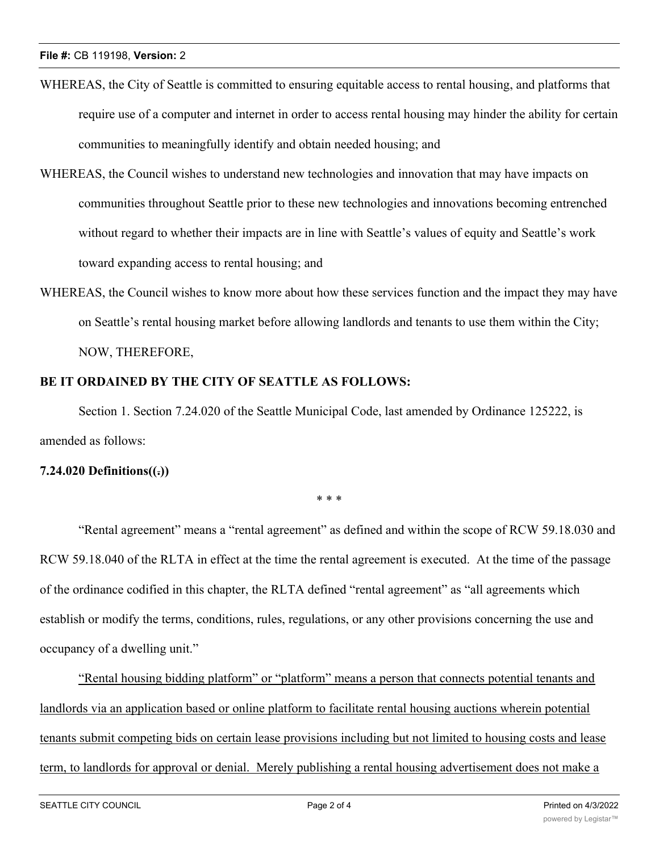- WHEREAS, the City of Seattle is committed to ensuring equitable access to rental housing, and platforms that require use of a computer and internet in order to access rental housing may hinder the ability for certain communities to meaningfully identify and obtain needed housing; and
- WHEREAS, the Council wishes to understand new technologies and innovation that may have impacts on communities throughout Seattle prior to these new technologies and innovations becoming entrenched without regard to whether their impacts are in line with Seattle's values of equity and Seattle's work toward expanding access to rental housing; and
- WHEREAS, the Council wishes to know more about how these services function and the impact they may have on Seattle's rental housing market before allowing landlords and tenants to use them within the City; NOW, THEREFORE,

## **BE IT ORDAINED BY THE CITY OF SEATTLE AS FOLLOWS:**

Section 1. Section 7.24.020 of the Seattle Municipal Code, last amended by Ordinance 125222, is amended as follows:

# **7.24.020 Definitions((.))**

\* \* \*

"Rental agreement" means a "rental agreement" as defined and within the scope of RCW 59.18.030 and RCW 59.18.040 of the RLTA in effect at the time the rental agreement is executed. At the time of the passage of the ordinance codified in this chapter, the RLTA defined "rental agreement" as "all agreements which establish or modify the terms, conditions, rules, regulations, or any other provisions concerning the use and occupancy of a dwelling unit."

"Rental housing bidding platform" or "platform" means a person that connects potential tenants and landlords via an application based or online platform to facilitate rental housing auctions wherein potential tenants submit competing bids on certain lease provisions including but not limited to housing costs and lease term, to landlords for approval or denial. Merely publishing a rental housing advertisement does not make a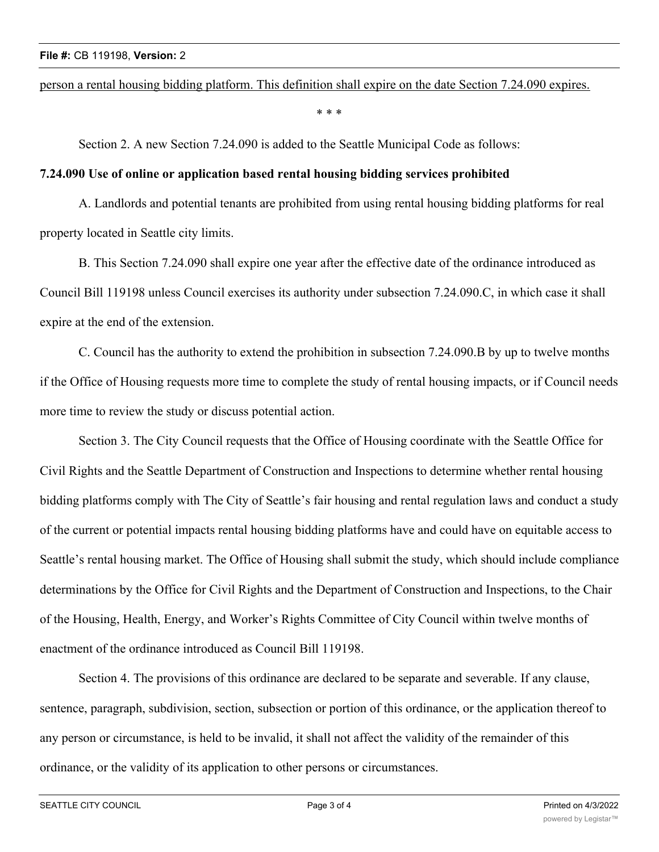#### person a rental housing bidding platform. This definition shall expire on the date Section 7.24.090 expires.

\* \* \*

Section 2. A new Section 7.24.090 is added to the Seattle Municipal Code as follows:

### **7.24.090 Use of online or application based rental housing bidding services prohibited**

A. Landlords and potential tenants are prohibited from using rental housing bidding platforms for real property located in Seattle city limits.

B. This Section 7.24.090 shall expire one year after the effective date of the ordinance introduced as Council Bill 119198 unless Council exercises its authority under subsection 7.24.090.C, in which case it shall expire at the end of the extension.

C. Council has the authority to extend the prohibition in subsection 7.24.090.B by up to twelve months if the Office of Housing requests more time to complete the study of rental housing impacts, or if Council needs more time to review the study or discuss potential action.

Section 3. The City Council requests that the Office of Housing coordinate with the Seattle Office for Civil Rights and the Seattle Department of Construction and Inspections to determine whether rental housing bidding platforms comply with The City of Seattle's fair housing and rental regulation laws and conduct a study of the current or potential impacts rental housing bidding platforms have and could have on equitable access to Seattle's rental housing market. The Office of Housing shall submit the study, which should include compliance determinations by the Office for Civil Rights and the Department of Construction and Inspections, to the Chair of the Housing, Health, Energy, and Worker's Rights Committee of City Council within twelve months of enactment of the ordinance introduced as Council Bill 119198.

Section 4. The provisions of this ordinance are declared to be separate and severable. If any clause, sentence, paragraph, subdivision, section, subsection or portion of this ordinance, or the application thereof to any person or circumstance, is held to be invalid, it shall not affect the validity of the remainder of this ordinance, or the validity of its application to other persons or circumstances.